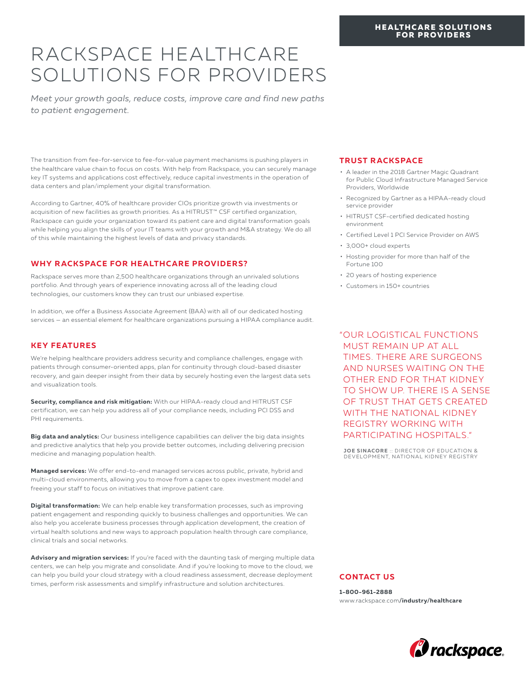#### **HEALTHCARE SOLUTIONS FOR PROVIDERS**

# RACKSPACE HEALTHCARE SOLUTIONS FOR PROVIDERS

*Meet your growth goals, reduce costs, improve care and find new paths to patient engagement.*

The transition from fee-for-service to fee-for-value payment mechanisms is pushing players in the healthcare value chain to focus on costs. With help from Rackspace, you can securely manage key IT systems and applications cost effectively, reduce capital investments in the operation of data centers and plan/implement your digital transformation.

According to Gartner, 40% of healthcare provider CIOs prioritize growth via investments or acquisition of new facilities as growth priorities. As a HITRUST™ CSF certified organization, Rackspace can guide your organization toward its patient care and digital transformation goals while helping you align the skills of your IT teams with your growth and M&A strategy. We do all of this while maintaining the highest levels of data and privacy standards.

## **WHY RACKSPACE FOR HEALTHCARE PROVIDERS?**

Rackspace serves more than 2,500 healthcare organizations through an unrivaled solutions portfolio. And through years of experience innovating across all of the leading cloud technologies, our customers know they can trust our unbiased expertise.

In addition, we offer a Business Associate Agreement (BAA) with all of our dedicated hosting services — an essential element for healthcare organizations pursuing a HIPAA compliance audit.

## **KEY FEATURES**

We're helping healthcare providers address security and compliance challenges, engage with patients through consumer-oriented apps, plan for continuity through cloud-based disaster recovery, and gain deeper insight from their data by securely hosting even the largest data sets and visualization tools.

**Security, compliance and risk mitigation:** With our HIPAA-ready cloud and HITRUST CSF certification, we can help you address all of your compliance needs, including PCI DSS and PHI requirements.

**Big data and analytics:** Our business intelligence capabilities can deliver the big data insights and predictive analytics that help you provide better outcomes, including delivering precision medicine and managing population health.

**Managed services:** We offer end-to-end managed services across public, private, hybrid and multi-cloud environments, allowing you to move from a capex to opex investment model and freeing your staff to focus on initiatives that improve patient care.

**Digital transformation:** We can help enable key transformation processes, such as improving patient engagement and responding quickly to business challenges and opportunities. We can also help you accelerate business processes through application development, the creation of virtual health solutions and new ways to approach population health through care compliance, clinical trials and social networks.

Advisory and migration services: If you're faced with the daunting task of merging multiple data centers, we can help you migrate and consolidate. And if you're looking to move to the cloud, we can help you build your cloud strategy with a cloud readiness assessment, decrease deployment times, perform risk assessments and simplify infrastructure and solution architectures.

## **TRUST RACKSPACE**

- A leader in the 2018 Gartner Magic Quadrant for Public Cloud Infrastructure Managed Service Providers, Worldwide
- Recognized by Gartner as a HIPAA-ready cloud service provider
- HITRUST CSF-certified dedicated hosting environment
- Certified Level 1 PCI Service Provider on AWS
- 3,000+ cloud experts
- Hosting provider for more than half of the Fortune 100
- 20 years of hosting experience
- Customers in 150+ countries

"OUR LOGISTICAL FUNCTIONS MUST REMAIN UP AT ALL TIMES. THERE ARE SURGEONS AND NURSES WAITING ON THE OTHER END FOR THAT KIDNEY TO SHOW UP. THERE IS A SENSE OF TRUST THAT GETS CREATED WITH THE NATIONAL KIDNEY REGISTRY WORKING WITH PARTICIPATING HOSPITALS."

**JOE SINACORE** :: DIRECTOR OF EDUCATION &<br>DEVELOPMENT, NATIONAL KIDNEY REGISTRY

### **CONTACT US**

**1-800-961-2888** www.rackspace.com**/industry/healthcare**